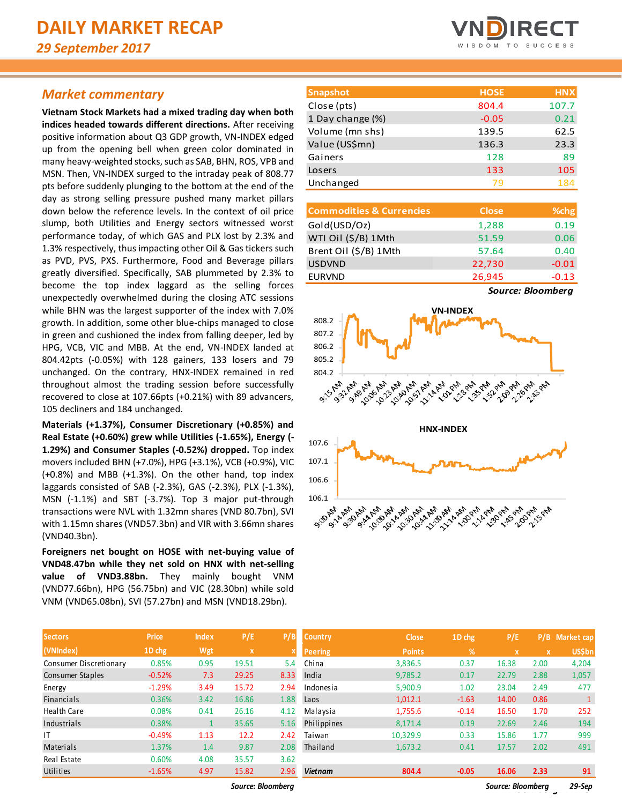### *Market commentary*

**Vietnam Stock Markets had a mixed trading day when both indices headed towards different directions.** After receiving positive information about Q3 GDP growth, VN-INDEX edged up from the opening bell when green color dominated in many heavy-weighted stocks, such as SAB, BHN, ROS, VPB and MSN. Then, VN-INDEX surged to the intraday peak of 808.77 pts before suddenly plunging to the bottom at the end of the day as strong selling pressure pushed many market pillars down below the reference levels. In the context of oil price slump, both Utilities and Energy sectors witnessed worst performance today, of which GAS and PLX lost by 2.3% and 1.3% respectively, thus impacting other Oil & Gas tickers such as PVD, PVS, PXS. Furthermore, Food and Beverage pillars greatly diversified. Specifically, SAB plummeted by 2.3% to become the top index laggard as the selling forces unexpectedly overwhelmed during the closing ATC sessions while BHN was the largest supporter of the index with 7.0% growth. In addition, some other blue-chips managed to close in green and cushioned the index from falling deeper, led by HPG, VCB, VIC and MBB. At the end, VN-INDEX landed at 804.42pts (-0.05%) with 128 gainers, 133 losers and 79 unchanged. On the contrary, HNX-INDEX remained in red throughout almost the trading session before successfully recovered to close at 107.66pts (+0.21%) with 89 advancers, 105 decliners and 184 unchanged.

**Materials (+1.37%), Consumer Discretionary (+0.85%) and Real Estate (+0.60%) grew while Utilities (-1.65%), Energy (- 1.29%) and Consumer Staples (-0.52%) dropped.** Top index movers included BHN (+7.0%), HPG (+3.1%), VCB (+0.9%), VIC (+0.8%) and MBB (+1.3%). On the other hand, top index laggards consisted of SAB (-2.3%), GAS (-2.3%), PLX (-1.3%), MSN (-1.1%) and SBT (-3.7%). Top 3 major put-through transactions were NVL with 1.32mn shares (VND 80.7bn), SVI with 1.15mn shares (VND57.3bn) and VIR with 3.66mn shares (VND40.3bn).

**Foreigners net bought on HOSE with net-buying value of VND48.47bn while they net sold on HNX with net-selling value of VND3.88bn.** They mainly bought VNM (VND77.66bn), HPG (56.75bn) and VJC (28.30bn) while sold VNM (VND65.08bn), SVI (57.27bn) and MSN (VND18.29bn).

| <b>Sectors</b>         | <b>Price</b> | <b>Index</b> | P/E         | P/B         |
|------------------------|--------------|--------------|-------------|-------------|
| (VNIndex)              | 1D chg       | Wgt          | $\mathbf x$ | $\mathbf x$ |
| Consumer Discretionary | 0.85%        | 0.95         | 19.51       | 5.4         |
| Consumer Staples       | $-0.52%$     | 7.3          | 29.25       | 8.33        |
| Energy                 | $-1.29%$     | 3.49         | 15.72       | 2.94        |
| <b>Financials</b>      | 0.36%        | 3.42         | 16.86       | 1.88        |
| <b>Health Care</b>     | 0.08%        | 0.41         | 26.16       | 4.12        |
| Industrials            | 0.38%        | $\mathbf{1}$ | 35.65       | 5.16        |
| ١T                     | $-0.49%$     | 1.13         | 12.2        | 2.42        |
| Materials              | 1.37%        | 1.4          | 9.87        | 2.08        |
| Real Estate            | 0.60%        | 4.08         | 35.57       | 3.62        |
| Utilities              | $-1.65%$     | 4.97         | 15.82       | 2.96        |



| <b>Snapshot</b>  | <b>HOSE</b> | <b>HNX</b> |
|------------------|-------------|------------|
| Close (pts)      | 804.4       | 107.7      |
| 1 Day change (%) | $-0.05$     | 0.21       |
| Volume (mn shs)  | 139.5       | 62.5       |
| Value (US\$mn)   | 136.3       | 23.3       |
| Gainers          | 128         | 89         |
| Losers           | 133         | 105        |
| Unchanged        | 79          | 184        |

| <b>Commodities &amp; Currencies</b> | <b>Close</b> | % <sub>chg</sub>                                                  |
|-------------------------------------|--------------|-------------------------------------------------------------------|
| Gold(USD/Oz)                        | 1,288        | 0.19                                                              |
| WTI Oil (\$/B) 1Mth                 | 51.59        | 0.06                                                              |
| Brent Oil (\$/B) 1Mth               | 57.64        | 0.40                                                              |
| <b>USDVND</b>                       | 22,730       | $-0.01$                                                           |
| <b>EURVND</b>                       | 26,945       | $-0.13$                                                           |
|                                     |              | $\bullet$ and $\bullet$ and $\bullet$ and $\bullet$ and $\bullet$ |

*Source: Bloomberg*



| <b>Sectors</b>         | Price    | <b>Index</b> | P/E               | P/B  | <b>Country</b> | <b>Close</b>  | 1D chg  | P/E               |              | P/B Market cap |
|------------------------|----------|--------------|-------------------|------|----------------|---------------|---------|-------------------|--------------|----------------|
| (VNIndex)              | 1D chg   | Wgt          | $\mathbf{x}$      |      | Peering        | <b>Points</b> | %       | x                 | $\mathbf{x}$ | <b>US\$bn</b>  |
| Consumer Discretionary | 0.85%    | 0.95         | 19.51             | 5.4  | China          | 3,836.5       | 0.37    | 16.38             | 2.00         | 4,204          |
| Consumer Staples       | $-0.52%$ | 7.3          | 29.25             | 8.33 | India          | 9,785.2       | 0.17    | 22.79             | 2.88         | 1,057          |
| Energy                 | $-1.29%$ | 3.49         | 15.72             | 2.94 | Indonesia      | 5,900.9       | 1.02    | 23.04             | 2.49         | 477            |
| Financials             | 0.36%    | 3.42         | 16.86             | 1.88 | Laos           | 1,012.1       | $-1.63$ | 14.00             | 0.86         | 1              |
| Health Care            | 0.08%    | 0.41         | 26.16             | 4.12 | Malaysia       | 1,755.6       | $-0.14$ | 16.50             | 1.70         | 252            |
| Industrials            | 0.38%    |              | 35.65             | 5.16 | Philippines    | 8,171.4       | 0.19    | 22.69             | 2.46         | 194            |
| ΙT                     | $-0.49%$ | 1.13         | 12.2              | 2.42 | Taiwan         | 10,329.9      | 0.33    | 15.86             | 1.77         | 999            |
| Materials              | 1.37%    | 1.4          | 9.87              | 2.08 | Thailand       | 1,673.2       | 0.41    | 17.57             | 2.02         | 491            |
| Real Estate            | 0.60%    | 4.08         | 35.57             | 3.62 |                |               |         |                   |              |                |
| Utilities              | $-1.65%$ | 4.97         | 15.82             | 2.96 | <b>Vietnam</b> | 804.4         | $-0.05$ | 16.06             | 2.33         | 91             |
|                        |          |              | Source: Bloomberg |      |                |               |         | Source: Bloomberg |              | 29-Sep         |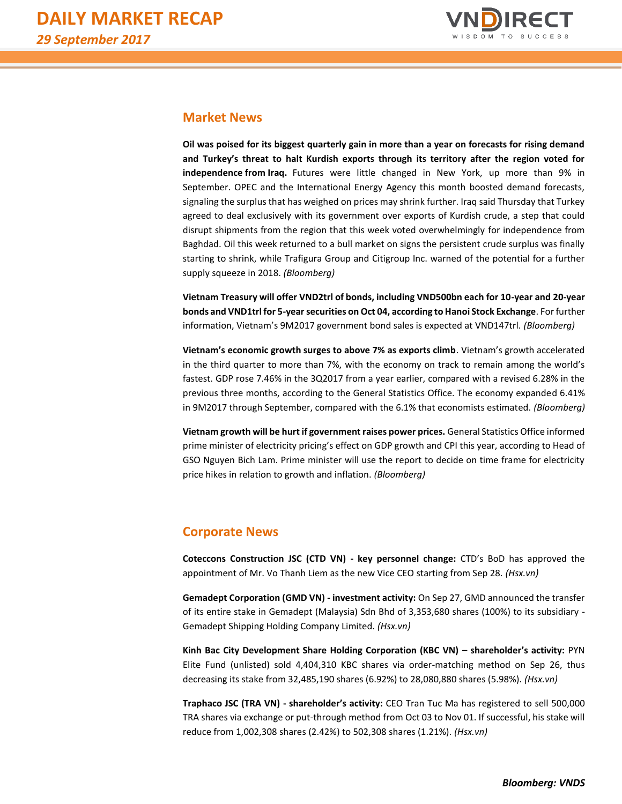

## **Market News**

**Oil was poised for its biggest quarterly gain in more than a year on forecasts for rising demand and Turkey's threat to halt Kurdish exports through its territory after the region voted for independence from Iraq.** Futures were little changed in New York, up more than 9% in September. OPEC and the International Energy Agency this month boosted demand forecasts, signaling the surplus that has weighed on prices may shrink further. Iraq said Thursday that Turkey agreed to deal exclusively with its government over exports of Kurdish crude, a step that could disrupt shipments from the region that this week voted overwhelmingly for independence from Baghdad. Oil this week returned to a bull market on signs the persistent crude surplus was finally starting to shrink, while Trafigura Group and Citigroup Inc. warned of the potential for a further supply squeeze in 2018. *(Bloomberg)*

**Vietnam Treasury will offer VND2trl of bonds, including VND500bn each for 10-year and 20-year bonds and VND1trl for 5-year securities on Oct 04, according to Hanoi Stock Exchange**. For further information, Vietnam's 9M2017 government bond sales is expected at VND147trl. *(Bloomberg)*

**Vietnam's economic growth surges to above 7% as exports climb**. Vietnam's growth accelerated in the third quarter to more than 7%, with the economy on track to remain among the world's fastest. GDP rose 7.46% in the 3Q2017 from a year earlier, compared with a revised 6.28% in the previous three months, according to the General Statistics Office. The economy expanded 6.41% in 9M2017 through September, compared with the 6.1% that economists estimated. *(Bloomberg)* 

**Vietnam growth will be hurt if government raises power prices.** General Statistics Office informed prime minister of electricity pricing's effect on GDP growth and CPI this year, according to Head of GSO Nguyen Bich Lam. Prime minister will use the report to decide on time frame for electricity price hikes in relation to growth and inflation. *(Bloomberg)* 

# **Corporate News**

**Coteccons Construction JSC (CTD VN) - key personnel change:** CTD's BoD has approved the appointment of Mr. Vo Thanh Liem as the new Vice CEO starting from Sep 28. *(Hsx.vn)*

**Gemadept Corporation (GMD VN) - investment activity:** On Sep 27, GMD announced the transfer of its entire stake in Gemadept (Malaysia) Sdn Bhd of 3,353,680 shares (100%) to its subsidiary - Gemadept Shipping Holding Company Limited. *(Hsx.vn)*

**Kinh Bac City Development Share Holding Corporation (KBC VN) – shareholder's activity:** PYN Elite Fund (unlisted) sold 4,404,310 KBC shares via order-matching method on Sep 26, thus decreasing its stake from 32,485,190 shares (6.92%) to 28,080,880 shares (5.98%). *(Hsx.vn)*

**Traphaco JSC (TRA VN) - shareholder's activity:** CEO Tran Tuc Ma has registered to sell 500,000 TRA shares via exchange or put-through method from Oct 03 to Nov 01. If successful, his stake will reduce from 1,002,308 shares (2.42%) to 502,308 shares (1.21%). *(Hsx.vn)*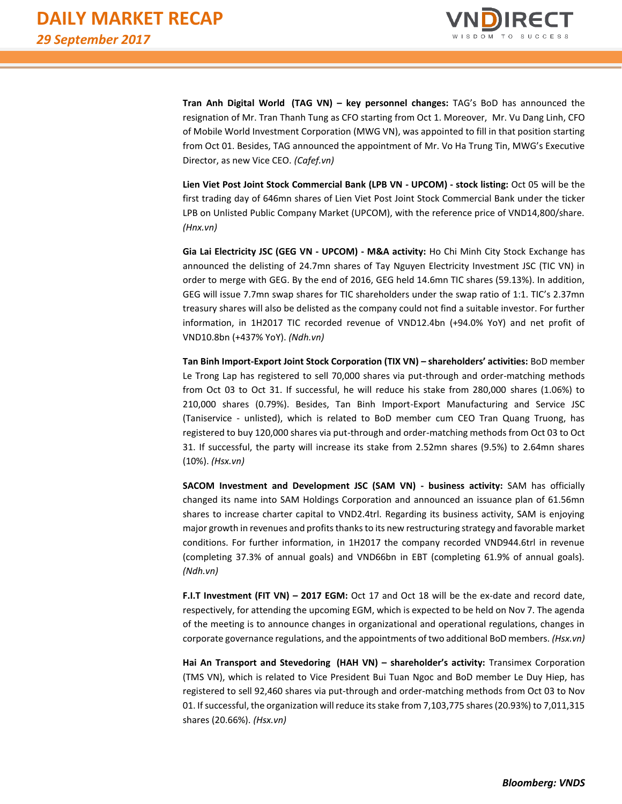

**Tran Anh Digital World (TAG VN) – key personnel changes:** TAG's BoD has announced the resignation of Mr. Tran Thanh Tung as CFO starting from Oct 1. Moreover, Mr. Vu Dang Linh, CFO of Mobile World Investment Corporation (MWG VN), was appointed to fill in that position starting from Oct 01. Besides, TAG announced the appointment of Mr. Vo Ha Trung Tin, MWG's Executive Director, as new Vice CEO. *(Cafef.vn)*

**Lien Viet Post Joint Stock Commercial Bank (LPB VN - UPCOM) - stock listing:** Oct 05 will be the first trading day of 646mn shares of Lien Viet Post Joint Stock Commercial Bank under the ticker LPB on Unlisted Public Company Market (UPCOM), with the reference price of VND14,800/share. *(Hnx.vn)*

**Gia Lai Electricity JSC (GEG VN - UPCOM) - M&A activity:** Ho Chi Minh City Stock Exchange has announced the delisting of 24.7mn shares of Tay Nguyen Electricity Investment JSC (TIC VN) in order to merge with GEG. By the end of 2016, GEG held 14.6mn TIC shares (59.13%). In addition, GEG will issue 7.7mn swap shares for TIC shareholders under the swap ratio of 1:1. TIC's 2.37mn treasury shares will also be delisted as the company could not find a suitable investor. For further information, in 1H2017 TIC recorded revenue of VND12.4bn (+94.0% YoY) and net profit of VND10.8bn (+437% YoY). *(Ndh.vn)*

**Tan Binh Import-Export Joint Stock Corporation (TIX VN) – shareholders' activities:** BoD member Le Trong Lap has registered to sell 70,000 shares via put-through and order-matching methods from Oct 03 to Oct 31. If successful, he will reduce his stake from 280,000 shares (1.06%) to 210,000 shares (0.79%). Besides, Tan Binh Import-Export Manufacturing and Service JSC (Taniservice - unlisted), which is related to BoD member cum CEO Tran Quang Truong, has registered to buy 120,000 shares via put-through and order-matching methods from Oct 03 to Oct 31. If successful, the party will increase its stake from 2.52mn shares (9.5%) to 2.64mn shares (10%). *(Hsx.vn)*

**SACOM Investment and Development JSC (SAM VN) - business activity:** SAM has officially changed its name into SAM Holdings Corporation and announced an issuance plan of 61.56mn shares to increase charter capital to VND2.4trl. Regarding its business activity, SAM is enjoying major growth in revenues and profits thanks to its new restructuring strategy and favorable market conditions. For further information, in 1H2017 the company recorded VND944.6trl in revenue (completing 37.3% of annual goals) and VND66bn in EBT (completing 61.9% of annual goals). *(Ndh.vn)*

**F.I.T Investment (FIT VN) – 2017 EGM:** Oct 17 and Oct 18 will be the ex-date and record date, respectively, for attending the upcoming EGM, which is expected to be held on Nov 7. The agenda of the meeting is to announce changes in organizational and operational regulations, changes in corporate governance regulations, and the appointments of two additional BoD members. *(Hsx.vn)*

**Hai An Transport and Stevedoring (HAH VN) – shareholder's activity:** Transimex Corporation (TMS VN), which is related to Vice President Bui Tuan Ngoc and BoD member Le Duy Hiep, has registered to sell 92,460 shares via put-through and order-matching methods from Oct 03 to Nov 01. If successful, the organization will reduce its stake from 7,103,775 shares (20.93%) to 7,011,315 shares (20.66%). *(Hsx.vn)*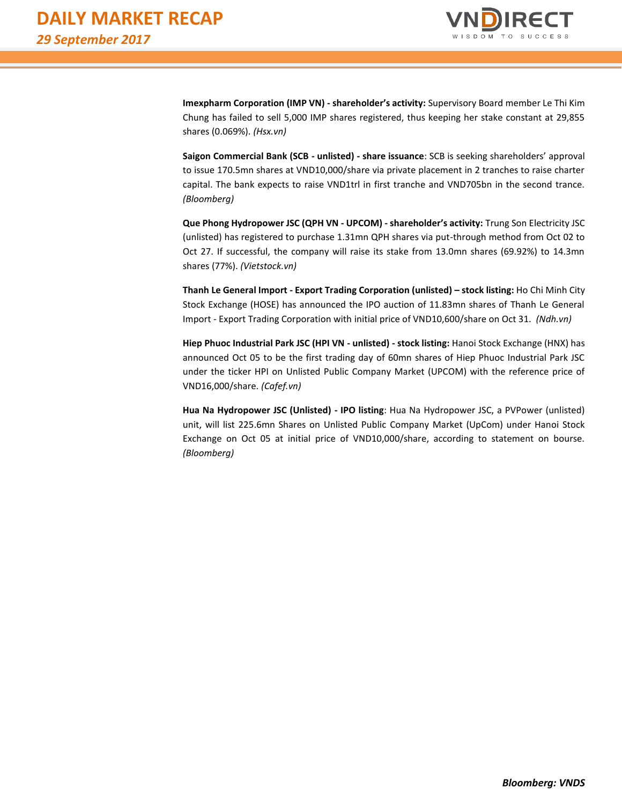

**Imexpharm Corporation (IMP VN) - shareholder's activity:** Supervisory Board member Le Thi Kim Chung has failed to sell 5,000 IMP shares registered, thus keeping her stake constant at 29,855 shares (0.069%). *(Hsx.vn)*

**Saigon Commercial Bank (SCB - unlisted) - share issuance**: SCB is seeking shareholders' approval to issue 170.5mn shares at VND10,000/share via private placement in 2 tranches to raise charter capital. The bank expects to raise VND1trl in first tranche and VND705bn in the second trance. *(Bloomberg)* 

**Que Phong Hydropower JSC (QPH VN - UPCOM) - shareholder's activity:** Trung Son Electricity JSC (unlisted) has registered to purchase 1.31mn QPH shares via put-through method from Oct 02 to Oct 27. If successful, the company will raise its stake from 13.0mn shares (69.92%) to 14.3mn shares (77%). *(Vietstock.vn)*

**Thanh Le General Import - Export Trading Corporation (unlisted) – stock listing:** Ho Chi Minh City Stock Exchange (HOSE) has announced the IPO auction of 11.83mn shares of Thanh Le General Import - Export Trading Corporation with initial price of VND10,600/share on Oct 31. *(Ndh.vn)*

**Hiep Phuoc Industrial Park JSC (HPI VN - unlisted) - stock listing:** Hanoi Stock Exchange (HNX) has announced Oct 05 to be the first trading day of 60mn shares of Hiep Phuoc Industrial Park JSC under the ticker HPI on Unlisted Public Company Market (UPCOM) with the reference price of VND16,000/share. *(Cafef.vn)*

**Hua Na Hydropower JSC (Unlisted) - IPO listing**: Hua Na Hydropower JSC, a PVPower (unlisted) unit, will list 225.6mn Shares on Unlisted Public Company Market (UpCom) under Hanoi Stock Exchange on Oct 05 at initial price of VND10,000/share, according to statement on bourse. *(Bloomberg)*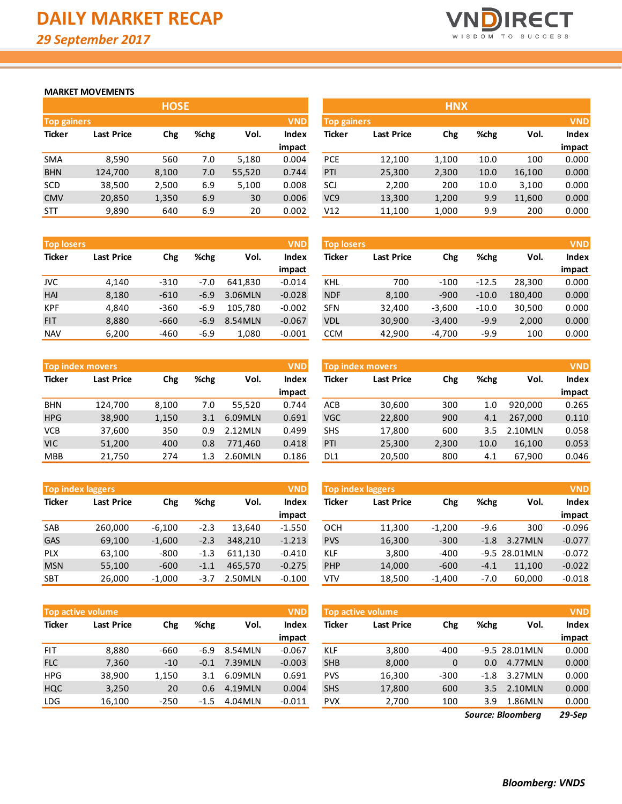

### **MARKET MOVEMENTS**

|                    | <b>HOSE</b>       |            |      |        |        |  |  |  |  |  |  |  |  |
|--------------------|-------------------|------------|------|--------|--------|--|--|--|--|--|--|--|--|
| <b>Top gainers</b> |                   |            |      |        |        |  |  |  |  |  |  |  |  |
| <b>Ticker</b>      | <b>Last Price</b> | <b>Chg</b> | %chg | Vol.   | Index  |  |  |  |  |  |  |  |  |
|                    |                   |            |      |        | impact |  |  |  |  |  |  |  |  |
| <b>SMA</b>         | 8,590             | 560        | 7.0  | 5,180  | 0.004  |  |  |  |  |  |  |  |  |
| <b>BHN</b>         | 124,700           | 8,100      | 7.0  | 55,520 | 0.744  |  |  |  |  |  |  |  |  |
| <b>SCD</b>         | 38,500            | 2,500      | 6.9  | 5,100  | 0.008  |  |  |  |  |  |  |  |  |
| <b>CMV</b>         | 20,850            | 1,350      | 6.9  | 30     | 0.006  |  |  |  |  |  |  |  |  |
| <b>STT</b>         | 9,890             | 640        | 6.9  | 20     | 0.002  |  |  |  |  |  |  |  |  |

| <b>Top losers</b> | <b>VND</b>        |        |        |         |          | <b>Top losers</b> |                   |          |         |         | <b>VND</b> |
|-------------------|-------------------|--------|--------|---------|----------|-------------------|-------------------|----------|---------|---------|------------|
| <b>Ticker</b>     | <b>Last Price</b> | Chg    | %chg   | Vol.    | Index    | <b>Ticker</b>     | <b>Last Price</b> | Chg      | %chg    | Vol.    | Index      |
|                   |                   |        |        |         | impact   |                   |                   |          |         |         | impact     |
| JVC               | 4,140             | $-310$ | $-7.0$ | 641.830 | $-0.014$ | <b>KHL</b>        | 700               | $-100$   | $-12.5$ | 28.300  | 0.000      |
| HAI               | 8,180             | $-610$ | $-6.9$ | 3.06MLN | $-0.028$ | <b>NDF</b>        | 8,100             | $-900$   | $-10.0$ | 180.400 | 0.000      |
| <b>KPF</b>        | 4,840             | $-360$ | $-6.9$ | 105.780 | $-0.002$ | <b>SFN</b>        | 32.400            | $-3,600$ | $-10.0$ | 30,500  | 0.000      |
| <b>FIT</b>        | 8,880             | $-660$ | $-6.9$ | 8.54MLN | $-0.067$ | <b>VDL</b>        | 30,900            | $-3,400$ | $-9.9$  | 2,000   | 0.000      |
| <b>NAV</b>        | 6,200             | -460   | $-6.9$ | 1,080   | $-0.001$ | <b>CCM</b>        | 42,900            | $-4,700$ | $-9.9$  | 100     | 0.000      |

|               | <b>Top index movers</b> |       |      |         | <b>VND</b>   |
|---------------|-------------------------|-------|------|---------|--------------|
| <b>Ticker</b> | <b>Last Price</b>       | Chg   | %chg | Vol.    | <b>Index</b> |
|               |                         |       |      |         | impact       |
| <b>BHN</b>    | 124,700                 | 8,100 | 7.0  | 55,520  | 0.744        |
| <b>HPG</b>    | 38,900                  | 1,150 | 3.1  | 6.09MLN | 0.691        |
| <b>VCB</b>    | 37,600                  | 350   | 0.9  | 2.12MLN | 0.499        |
| <b>VIC</b>    | 51,200                  | 400   | 0.8  | 771,460 | 0.418        |
| <b>MBB</b>    | 21,750                  | 274   | 1.3  | 2.60MLN | 0.186        |

| <b>Top index laggers</b> |                   |          |        |         | <b>VND</b>   |
|--------------------------|-------------------|----------|--------|---------|--------------|
| <b>Ticker</b>            | <b>Last Price</b> | Chg      | %chg   | Vol.    | <b>Index</b> |
|                          |                   |          |        |         | impact       |
| <b>SAB</b>               | 260,000           | $-6,100$ | $-2.3$ | 13,640  | $-1.550$     |
| GAS                      | 69,100            | $-1,600$ | $-2.3$ | 348,210 | $-1.213$     |
| <b>PLX</b>               | 63,100            | $-800$   | $-1.3$ | 611,130 | $-0.410$     |
| <b>MSN</b>               | 55,100            | $-600$   | $-1.1$ | 465,570 | $-0.275$     |
| <b>SBT</b>               | 26,000            | $-1,000$ | $-3.7$ | 2.50MLN | $-0.100$     |

| <b>VND</b><br><b>Top active volume</b> |                   |            |        |         |          |  |  |  |  |  |
|----------------------------------------|-------------------|------------|--------|---------|----------|--|--|--|--|--|
| <b>Ticker</b>                          | <b>Last Price</b> | <b>Chg</b> | %chg   | Vol.    | Index    |  |  |  |  |  |
|                                        |                   |            |        |         | impact   |  |  |  |  |  |
| <b>FIT</b>                             | 8,880             | -660       | $-6.9$ | 8.54MLN | $-0.067$ |  |  |  |  |  |
| <b>FLC</b>                             | 7,360             | $-10$      | $-0.1$ | 7.39MLN | $-0.003$ |  |  |  |  |  |
| <b>HPG</b>                             | 38,900            | 1,150      | 3.1    | 6.09MLN | 0.691    |  |  |  |  |  |
| <b>HQC</b>                             | 3,250             | 20         | 0.6    | 4.19MLN | 0.004    |  |  |  |  |  |
| <b>LDG</b>                             | 16,100            | $-250$     | $-1.5$ | 4.04MLN | $-0.011$ |  |  |  |  |  |

|                    |                   | <b>HOSE</b> |      |        |              |                 |                                  | <b>HNX</b> |      |        |              |
|--------------------|-------------------|-------------|------|--------|--------------|-----------------|----------------------------------|------------|------|--------|--------------|
| <b>Top gainers</b> |                   |             |      |        | <b>VND</b>   |                 | <b>VND</b><br><b>Top gainers</b> |            |      |        |              |
| Ticker             | <b>Last Price</b> | Chg         | %chg | Vol.   | <b>Index</b> | Ticker          | <b>Last Price</b>                | Chg        | %chg | Vol.   | <b>Index</b> |
|                    |                   |             |      |        | impact       |                 |                                  |            |      |        | impact       |
| SMA                | 8,590             | 560         | 7.0  | 5,180  | 0.004        | <b>PCE</b>      | 12,100                           | 1,100      | 10.0 | 100    | 0.000        |
| <b>BHN</b>         | 124,700           | 8,100       | 7.0  | 55,520 | 0.744        | PTI             | 25,300                           | 2,300      | 10.0 | 16,100 | 0.000        |
| <b>SCD</b>         | 38,500            | 2,500       | 6.9  | 5,100  | 0.008        | SCJ             | 2,200                            | 200        | 10.0 | 3,100  | 0.000        |
| <b>CMV</b>         | 20,850            | 1,350       | 6.9  | 30     | 0.006        | VC <sub>9</sub> | 13,300                           | 1,200      | 9.9  | 11,600 | 0.000        |
| STT                | 9,890             | 640         | 6.9  | 20     | 0.002        | V12             | 11,100                           | 1,000      | 9.9  | 200    | 0.000        |

| <b>Top losers</b> |                   |          |         |         | <b>VND</b>   |
|-------------------|-------------------|----------|---------|---------|--------------|
| <b>Ticker</b>     | <b>Last Price</b> | Chg      | %chg    | Vol.    | <b>Index</b> |
|                   |                   |          |         |         | impact       |
| KHL               | 700               | $-100$   | $-12.5$ | 28,300  | 0.000        |
| <b>NDF</b>        | 8,100             | $-900$   | $-10.0$ | 180,400 | 0.000        |
| <b>SFN</b>        | 32,400            | $-3,600$ | $-10.0$ | 30,500  | 0.000        |
| <b>VDL</b>        | 30,900            | $-3,400$ | $-9.9$  | 2,000   | 0.000        |
| <b>CCM</b>        | 42,900            | $-4,700$ | $-9.9$  | 100     | 0.000        |

|            | <b>VND</b><br><b>Top index movers</b> |       |         |         |        | <b>Top index movers</b> |                   |       |      |         | <b>VND</b> |
|------------|---------------------------------------|-------|---------|---------|--------|-------------------------|-------------------|-------|------|---------|------------|
| Ticker     | <b>Last Price</b>                     | Chg   | %chg    | Vol.    | Index  | Ticker                  | <b>Last Price</b> | Chg   | %chg | Vol.    | Index      |
|            |                                       |       |         |         | impact |                         |                   |       |      |         | impact     |
| <b>BHN</b> | 124.700                               | 8,100 | 7.0     | 55.520  | 0.744  | <b>ACB</b>              | 30,600            | 300   | 1.0  | 920.000 | 0.265      |
| <b>HPG</b> | 38,900                                | 1,150 | 3.1     | 6.09MLN | 0.691  | <b>VGC</b>              | 22,800            | 900   | 4.1  | 267.000 | 0.110      |
| VCB        | 37,600                                | 350   | 0.9     | 2.12MLN | 0.499  | <b>SHS</b>              | 17,800            | 600   | 3.5  | 2.10MLN | 0.058      |
| VIC        | 51,200                                | 400   | $0.8\,$ | 771.460 | 0.418  | PTI                     | 25,300            | 2,300 | 10.0 | 16.100  | 0.053      |
| MBB        | 21,750                                | 274   | 1.3     | 2.60MLN | 0.186  | DL <sub>1</sub>         | 20,500            | 800   | 4.1  | 67,900  | 0.046      |
|            |                                       |       |         |         |        |                         |                   |       |      |         |            |

| <b>Top index laggers</b> |                   |          |        |         | <b>VND</b> | Top index laggers |                   |          |        |                 |          |  |
|--------------------------|-------------------|----------|--------|---------|------------|-------------------|-------------------|----------|--------|-----------------|----------|--|
| Ticker                   | <b>Last Price</b> | Chg      | %chg   | Vol.    | Index      | <b>Ticker</b>     | <b>Last Price</b> | Chg      | %chg   | Vol.            | Index    |  |
|                          |                   |          |        |         | impact     |                   |                   |          |        |                 | impact   |  |
| SAB                      | 260,000           | $-6.100$ | $-2.3$ | 13.640  | $-1.550$   | OCH               | 11,300            | $-1,200$ | $-9.6$ | 300             | $-0.096$ |  |
| GAS                      | 69,100            | $-1,600$ | $-2.3$ | 348,210 | $-1.213$   | <b>PVS</b>        | 16,300            | $-300$   | $-1.8$ | 3.27MLN         | $-0.077$ |  |
| <b>PLX</b>               | 63.100            | $-800$   | $-1.3$ | 611.130 | $-0.410$   | <b>KLF</b>        | 3,800             | $-400$   |        | $-9.5$ 28.01MLN | $-0.072$ |  |
| <b>MSN</b>               | 55,100            | $-600$   | $-1.1$ | 465.570 | $-0.275$   | <b>PHP</b>        | 14,000            | $-600$   | $-4.1$ | 11,100          | $-0.022$ |  |
| SBT                      | 26,000            | $-1,000$ | $-3.7$ | 2.50MLN | $-0.100$   | <b>VTV</b>        | 18,500            | $-1,400$ | -7.0   | 60,000          | $-0.018$ |  |

|            | <b>Top active volume</b> |        |        |         | <b>VND</b> | Top active volume |                   | <b>VND</b> |               |                 |        |
|------------|--------------------------|--------|--------|---------|------------|-------------------|-------------------|------------|---------------|-----------------|--------|
| Ticker     | <b>Last Price</b>        | Chg    | %chg   | Vol.    | Index      | Ticker            | <b>Last Price</b> | Chg        | %chg          | Vol.            | Index  |
|            |                          |        |        |         | impact     |                   |                   |            |               |                 | impact |
| <b>FIT</b> | 8,880                    | $-660$ | -6.9   | 8.54MLN | $-0.067$   | KLF               | 3,800             | $-400$     |               | $-9.5$ 28.01MLN | 0.000  |
| <b>FLC</b> | 7,360                    | $-10$  | $-0.1$ | 7.39MLN | $-0.003$   | <b>SHB</b>        | 8,000             | 0          | $0.0^{\circ}$ | 4.77MLN         | 0.000  |
| <b>HPG</b> | 38,900                   | 1,150  | 3.1    | 6.09MLN | 0.691      | <b>PVS</b>        | 16,300            | $-300$     | -1.8          | 3.27MLN         | 0.000  |
| HQC        | 3,250                    | 20     | 0.6    | 4.19MLN | 0.004      | <b>SHS</b>        | 17,800            | 600        | $3.5^{\circ}$ | 2.10MLN         | 0.000  |
| LDG        | 16,100                   | $-250$ | $-1.5$ | 4.04MLN | $-0.011$   | <b>PVX</b>        | 2,700             | 100        | 3.9           | 1.86MLN         | 0.000  |

*29-Sep Source: Bloomberg*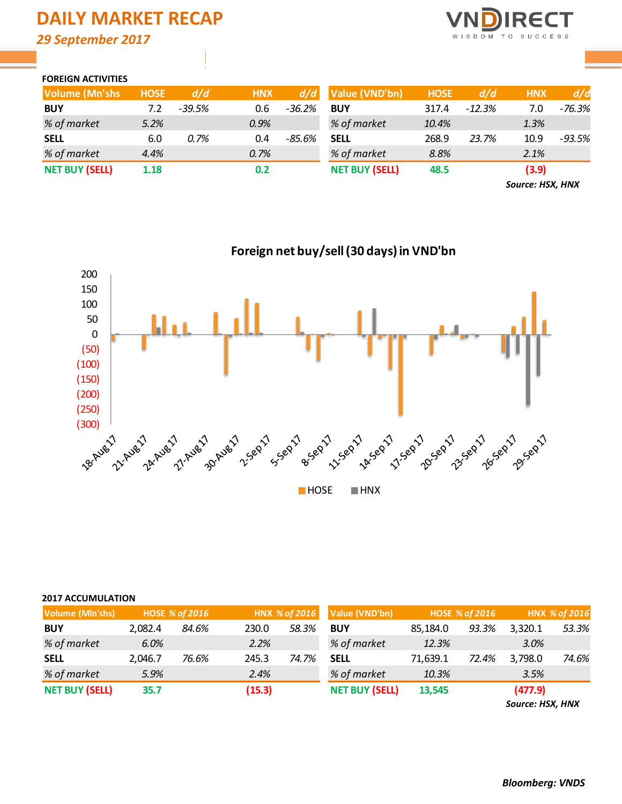# **DAILY MARKET RECAP** *29 September 2017*

**RECT** C E S S WISDOM TO  $^{\circ}$  S

### **FOREIGN ACTIVITIES**

| <b>Volume (Mn'shs</b> | <b>HOSE</b> | d/d      | <b>HNX</b> | d/d      | Value (VND'bn)        | <b>HOSE</b> | d/d      | <b>HNX</b> | d/d      |
|-----------------------|-------------|----------|------------|----------|-----------------------|-------------|----------|------------|----------|
| <b>BUY</b>            | 7.2         | $-39.5%$ | 0.6        | $-36.2%$ | <b>BUY</b>            | 317.4       | $-12.3%$ | 7.0        | -76.3%   |
| % of market           | 5.2%        |          | 0.9%       |          | % of market           | 10.4%       |          | 1.3%       |          |
| <b>SELL</b>           | 6.0         | 0.7%     | 0.4        | -85.6%   | <b>SELL</b>           | 268.9       | 23.7%    | 10.9       | $-93.5%$ |
| % of market           | 4.4%        |          | 0.7%       |          | % of market           | 8.8%        |          | 2.1%       |          |
| <b>NET BUY (SELL)</b> | 1.18        |          | 0.2        |          | <b>NET BUY (SELL)</b> | 48.5        |          | (3.9)      |          |

*Source: HSX, HNX*



### **2017 ACCUMULATION**

| Volume (MIn'shs)      |         | <b>HOSE % of 2016</b> |        | HNX % of 2016 | Value (VND'bn)        |          | <b>HOSE % of 2016</b> | HNX % of 2016 |       |  |
|-----------------------|---------|-----------------------|--------|---------------|-----------------------|----------|-----------------------|---------------|-------|--|
| <b>BUY</b>            | 2.082.4 | 84.6%                 | 230.0  | 58.3%         | <b>BUY</b>            | 85,184.0 | 93.3%                 | 3.320.1       | 53.3% |  |
| % of market           | 6.0%    |                       | 2.2%   |               | % of market           | 12.3%    |                       | 3.0%          |       |  |
| <b>SELL</b>           | 2.046.7 | 76.6%                 | 245.3  | 74.7%         | <b>SELL</b>           | 71,639.1 | 72.4%                 | 3,798.0       | 74.6% |  |
| % of market           | 5.9%    |                       | 2.4%   |               | % of market           | 10.3%    |                       | 3.5%          |       |  |
| <b>NET BUY (SELL)</b> | 35.7    |                       | (15.3) |               | <b>NET BUY (SELL)</b> | 13,545   |                       | (477.9)       |       |  |

*Source: HSX, HNX*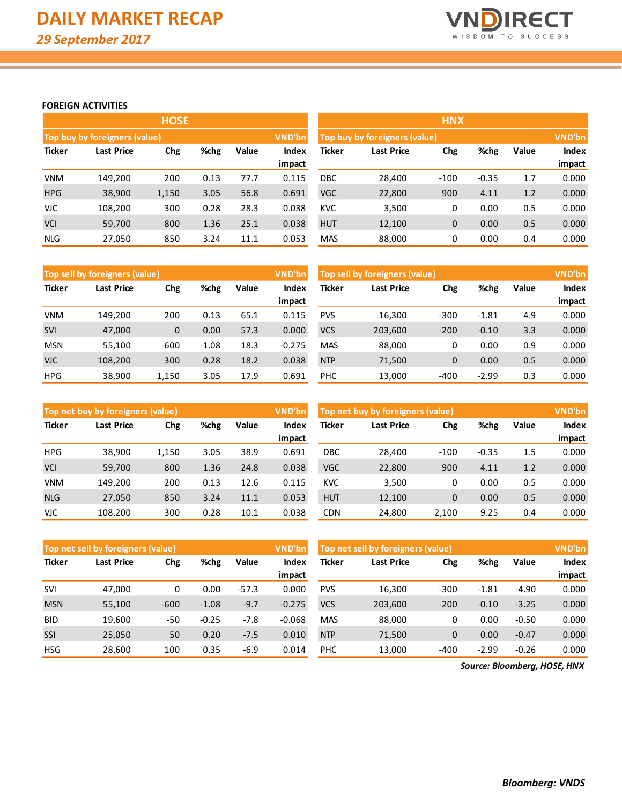

### **FOREIGN ACTIVITIES**

|               |                                      | <b>HOSE</b> |      |       |        |                               |                   | <b>HNX</b>  |         |       |        |
|---------------|--------------------------------------|-------------|------|-------|--------|-------------------------------|-------------------|-------------|---------|-------|--------|
|               | <b>Top buy by foreigners (value)</b> |             |      |       | VND'bn | Top buy by foreigners (value) |                   | VND'bn      |         |       |        |
| <b>Ticker</b> | Last Price                           | Chg         | %chg | Value | Index  | Ticker                        | <b>Last Price</b> | Chg         | %chg    | Value | Index  |
|               |                                      |             |      |       | impact |                               |                   |             |         |       | impact |
| <b>VNM</b>    | 149.200                              | 200         | 0.13 | 77.7  | 0.115  | <b>DBC</b>                    | 28,400            | $-100$      | $-0.35$ | 1.7   | 0.000  |
| <b>HPG</b>    | 38,900                               | 1,150       | 3.05 | 56.8  | 0.691  | <b>VGC</b>                    | 22,800            | 900         | 4.11    | 1.2   | 0.000  |
| <b>VJC</b>    | 108,200                              | 300         | 0.28 | 28.3  | 0.038  | <b>KVC</b>                    | 3,500             | 0           | 0.00    | 0.5   | 0.000  |
| <b>VCI</b>    | 59,700                               | 800         | 1.36 | 25.1  | 0.038  | <b>HUT</b>                    | 12,100            | $\mathbf 0$ | 0.00    | 0.5   | 0.000  |
| <b>NLG</b>    | 27,050                               | 850         | 3.24 | 11.1  | 0.053  | <b>MAS</b>                    | 88,000            | 0           | 0.00    | 0.4   | 0.000  |

|               | Top sell by foreigners (value) |        |         |       | VND'bn   | Top sell by foreigners (value)      | VND'bn  |        |         |       |              |
|---------------|--------------------------------|--------|---------|-------|----------|-------------------------------------|---------|--------|---------|-------|--------------|
| <b>Ticker</b> | <b>Last Price</b><br>Chg       |        | %chg    | Value | Index    | Ticker<br>%chg<br>Last Price<br>Chg |         |        |         | Value | <b>Index</b> |
|               |                                |        |         |       | impact   |                                     |         |        |         |       | impact       |
| <b>VNM</b>    | 149.200                        | 200    | 0.13    | 65.1  | 0.115    | <b>PVS</b>                          | 16,300  | $-300$ | $-1.81$ | 4.9   | 0.000        |
| <b>SVI</b>    | 47,000                         | 0      | 0.00    | 57.3  | 0.000    | <b>VCS</b>                          | 203,600 | $-200$ | $-0.10$ | 3.3   | 0.000        |
| <b>MSN</b>    | 55,100                         | $-600$ | $-1.08$ | 18.3  | $-0.275$ | <b>MAS</b>                          | 88,000  | 0      | 0.00    | 0.9   | 0.000        |
| <b>VJC</b>    | 108,200                        | 300    | 0.28    | 18.2  | 0.038    | <b>NTP</b>                          | 71,500  | 0      | 0.00    | 0.5   | 0.000        |
| <b>HPG</b>    | 38,900                         | 1.150  | 3.05    | 17.9  | 0.691    | <b>PHC</b>                          | 13,000  | $-400$ | $-2.99$ | 0.3   | 0.000        |

|               | Top net buy by foreigners (value) |       |      |       | <b>VND'bn</b> | Top net buy by foreigners (value) |                   | <b>VND'bn</b> |         |              |        |
|---------------|-----------------------------------|-------|------|-------|---------------|-----------------------------------|-------------------|---------------|---------|--------------|--------|
| <b>Ticker</b> | %chg<br>Last Price<br>Chg         |       |      | Value | Index         | Ticker                            | <b>Last Price</b> | %chg          | Value   | <b>Index</b> |        |
|               |                                   |       |      |       | impact        |                                   |                   |               |         |              | impact |
| <b>HPG</b>    | 38,900                            | 1.150 | 3.05 | 38.9  | 0.691         | DBC                               | 28,400            | $-100$        | $-0.35$ | 1.5          | 0.000  |
| <b>VCI</b>    | 59,700                            | 800   | 1.36 | 24.8  | 0.038         | <b>VGC</b>                        | 22,800            | 900           | 4.11    | 1.2          | 0.000  |
| VNM           | 149.200                           | 200   | 0.13 | 12.6  | 0.115         | <b>KVC</b>                        | 3,500             | 0             | 0.00    | 0.5          | 0.000  |
| <b>NLG</b>    | 27,050                            | 850   | 3.24 | 11.1  | 0.053         | <b>HUT</b>                        | 12,100            | 0             | 0.00    | 0.5          | 0.000  |
| <b>VJC</b>    | 108.200                           | 300   | 0.28 | 10.1  | 0.038         | <b>CDN</b>                        | 24,800            | 2.100         | 9.25    | 0.4          | 0.000  |

|               | Top net sell by foreigners (value) |        |         |         | VND'bn   | Top net sell by foreigners (value) |                           | VND'bn |         |         |              |
|---------------|------------------------------------|--------|---------|---------|----------|------------------------------------|---------------------------|--------|---------|---------|--------------|
| <b>Ticker</b> | %chg<br>Chg<br>Last Price          |        |         | Value   | Index    | Ticker                             | %chg<br>Chg<br>Last Price |        |         |         | <b>Index</b> |
|               |                                    |        |         |         | impact   |                                    |                           |        |         |         | impact       |
| SVI           | 47.000                             | 0      | 0.00    | $-57.3$ | 0.000    | <b>PVS</b>                         | 16.300                    | $-300$ | $-1.81$ | $-4.90$ | 0.000        |
| <b>MSN</b>    | 55,100                             | $-600$ | $-1.08$ | $-9.7$  | $-0.275$ | <b>VCS</b>                         | 203,600                   | $-200$ | $-0.10$ | $-3.25$ | 0.000        |
| <b>BID</b>    | 19,600                             | -50    | $-0.25$ | $-7.8$  | $-0.068$ | <b>MAS</b>                         | 88,000                    | 0      | 0.00    | $-0.50$ | 0.000        |
| <b>SSI</b>    | 25,050                             | 50     | 0.20    | $-7.5$  | 0.010    | <b>NTP</b>                         | 71,500                    | 0      | 0.00    | $-0.47$ | 0.000        |
| <b>HSG</b>    | 28,600                             | 100    | 0.35    | $-6.9$  | 0.014    | <b>PHC</b>                         | 13,000                    | $-400$ | $-2.99$ | $-0.26$ | 0.000        |

*Source: Bloomberg, HOSE, HNX*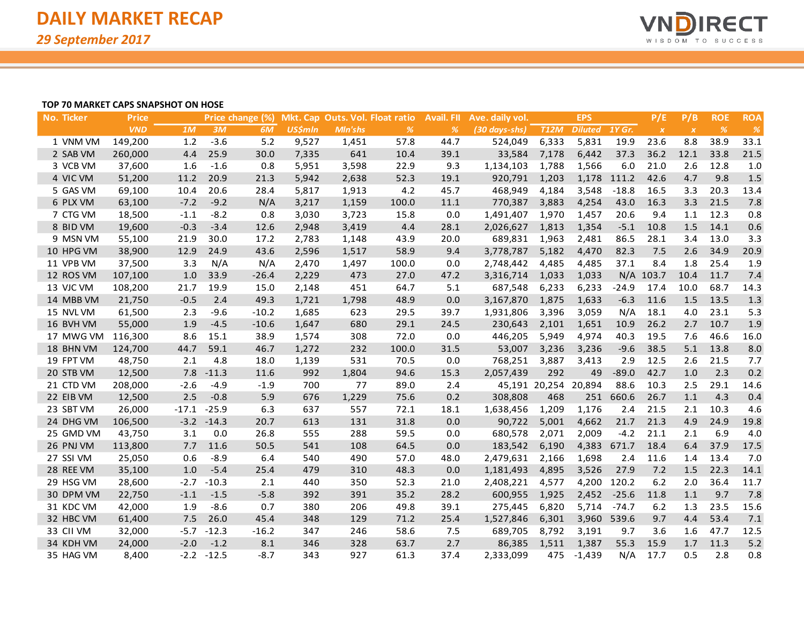

### **TOP 70 MARKET CAPS SNAPSHOT ON HOSE**

| No. Ticker | <b>Price</b> |         |         | Price change (%) |                |                | Mkt. Cap Outs. Vol. Float ratio | <b>Avail. FII</b> | Ave. daily vol. |                      | <b>EPS</b>     |             | P/E              | P/B              | <b>ROE</b>    | <b>ROA</b> |
|------------|--------------|---------|---------|------------------|----------------|----------------|---------------------------------|-------------------|-----------------|----------------------|----------------|-------------|------------------|------------------|---------------|------------|
|            | <b>VND</b>   | 1M      | 3M      | 6M               | <b>US\$mln</b> | <b>MIn'shs</b> | $\frac{9}{6}$                   | %                 | (30 days-shs)   | <b>T12M</b>          | <b>Diluted</b> | 1Y Gr.      | $\boldsymbol{X}$ | $\boldsymbol{X}$ | $\frac{o}{o}$ | %          |
| 1 VNM VM   | 149,200      | $1.2$   | $-3.6$  | 5.2              | 9,527          | 1,451          | 57.8                            | 44.7              | 524,049         | 6,333                | 5,831          | 19.9        | 23.6             | 8.8              | 38.9          | 33.1       |
| 2 SAB VM   | 260,000      | 4.4     | 25.9    | 30.0             | 7,335          | 641            | 10.4                            | 39.1              | 33,584          | 7,178                | 6,442          | 37.3        | 36.2             | 12.1             | 33.8          | 21.5       |
| 3 VCB VM   | 37,600       | 1.6     | $-1.6$  | 0.8              | 5,951          | 3,598          | 22.9                            | 9.3               | 1,134,103       | 1,788                | 1,566          | 6.0         | 21.0             | 2.6              | 12.8          | 1.0        |
| 4 VIC VM   | 51,200       | 11.2    | 20.9    | 21.3             | 5,942          | 2,638          | 52.3                            | 19.1              | 920,791         | 1,203                |                | 1,178 111.2 | 42.6             | 4.7              | 9.8           | 1.5        |
| 5 GAS VM   | 69,100       | 10.4    | 20.6    | 28.4             | 5,817          | 1,913          | 4.2                             | 45.7              | 468,949         | 4,184                | 3,548          | $-18.8$     | 16.5             | 3.3              | 20.3          | 13.4       |
| 6 PLX VM   | 63,100       | $-7.2$  | $-9.2$  | N/A              | 3,217          | 1,159          | 100.0                           | 11.1              | 770,387         | 3,883                | 4,254          | 43.0        | 16.3             | 3.3              | 21.5          | 7.8        |
| 7 CTG VM   | 18,500       | $-1.1$  | $-8.2$  | 0.8              | 3,030          | 3,723          | 15.8                            | 0.0               | 1,491,407       | 1,970                | 1,457          | 20.6        | 9.4              | 1.1              | 12.3          | 0.8        |
| 8 BID VM   | 19,600       | $-0.3$  | $-3.4$  | 12.6             | 2,948          | 3,419          | 4.4                             | 28.1              | 2,026,627       | 1,813                | 1,354          | $-5.1$      | 10.8             | 1.5              | 14.1          | 0.6        |
| 9 MSN VM   | 55,100       | 21.9    | 30.0    | 17.2             | 2,783          | 1,148          | 43.9                            | 20.0              | 689,831         | 1,963                | 2,481          | 86.5        | 28.1             | 3.4              | 13.0          | 3.3        |
| 10 HPG VM  | 38,900       | 12.9    | 24.9    | 43.6             | 2,596          | 1,517          | 58.9                            | 9.4               | 3,778,787       | 5,182                | 4,470          | 82.3        | 7.5              | 2.6              | 34.9          | 20.9       |
| 11 VPB VM  | 37,500       | 3.3     | N/A     | N/A              | 2,470          | 1,497          | 100.0                           | 0.0               | 2,748,442       | 4,485                | 4,485          | 37.1        | 8.4              | 1.8              | 25.4          | 1.9        |
| 12 ROS VM  | 107,100      | 1.0     | 33.9    | $-26.4$          | 2,229          | 473            | 27.0                            | 47.2              | 3,316,714       | 1,033                | 1,033          |             | N/A 103.7        | 10.4             | 11.7          | 7.4        |
| 13 VJC VM  | 108,200      | 21.7    | 19.9    | 15.0             | 2,148          | 451            | 64.7                            | 5.1               | 687,548         | 6,233                | 6,233          | $-24.9$     | 17.4             | 10.0             | 68.7          | 14.3       |
| 14 MBB VM  | 21,750       | $-0.5$  | 2.4     | 49.3             | 1,721          | 1,798          | 48.9                            | 0.0               | 3,167,870       | 1,875                | 1,633          | $-6.3$      | 11.6             | 1.5              | 13.5          | 1.3        |
| 15 NVL VM  | 61,500       | 2.3     | $-9.6$  | $-10.2$          | 1,685          | 623            | 29.5                            | 39.7              | 1,931,806       | 3,396                | 3,059          | N/A         | 18.1             | 4.0              | 23.1          | 5.3        |
| 16 BVH VM  | 55,000       | 1.9     | $-4.5$  | $-10.6$          | 1,647          | 680            | 29.1                            | 24.5              | 230,643         | 2,101                | 1,651          | 10.9        | 26.2             | 2.7              | 10.7          | 1.9        |
| 17 MWG VM  | 116,300      | 8.6     | 15.1    | 38.9             | 1,574          | 308            | 72.0                            | 0.0               | 446,205         | 5,949                | 4,974          | 40.3        | 19.5             | 7.6              | 46.6          | 16.0       |
| 18 BHN VM  | 124,700      | 44.7    | 59.1    | 46.7             | 1,272          | 232            | 100.0                           | 31.5              | 53,007          | 3,236                | 3,236          | $-9.6$      | 38.5             | 5.1              | 13.8          | 8.0        |
| 19 FPT VM  | 48,750       | 2.1     | 4.8     | 18.0             | 1,139          | 531            | 70.5                            | 0.0               | 768,251         | 3,887                | 3,413          | 2.9         | 12.5             | 2.6              | 21.5          | 7.7        |
| 20 STB VM  | 12,500       | 7.8     | $-11.3$ | 11.6             | 992            | 1,804          | 94.6                            | 15.3              | 2,057,439       | 292                  | 49             | $-89.0$     | 42.7             | 1.0              | 2.3           | 0.2        |
| 21 CTD VM  | 208,000      | $-2.6$  | $-4.9$  | $-1.9$           | 700            | 77             | 89.0                            | 2.4               |                 | 45,191 20,254 20,894 |                | 88.6        | 10.3             | 2.5              | 29.1          | 14.6       |
| 22 EIB VM  | 12,500       | 2.5     | $-0.8$  | 5.9              | 676            | 1,229          | 75.6                            | 0.2               | 308,808         | 468                  | 251            | 660.6       | 26.7             | 1.1              | 4.3           | 0.4        |
| 23 SBT VM  | 26,000       | $-17.1$ | $-25.9$ | 6.3              | 637            | 557            | 72.1                            | 18.1              | 1,638,456       | 1,209                | 1,176          | 2.4         | 21.5             | 2.1              | 10.3          | 4.6        |
| 24 DHG VM  | 106,500      | $-3.2$  | $-14.3$ | 20.7             | 613            | 131            | 31.8                            | 0.0               | 90,722          | 5,001                | 4,662          | 21.7        | 21.3             | 4.9              | 24.9          | 19.8       |
| 25 GMD VM  | 43,750       | 3.1     | 0.0     | 26.8             | 555            | 288            | 59.5                            | 0.0               | 680,578         | 2,071                | 2,009          | $-4.2$      | 21.1             | 2.1              | 6.9           | 4.0        |
| 26 PNJ VM  | 113,800      | 7.7     | 11.6    | 50.5             | 541            | 108            | 64.5                            | 0.0               | 183,542         | 6,190                | 4,383          | 671.7       | 18.4             | 6.4              | 37.9          | 17.5       |
| 27 SSI VM  | 25,050       | 0.6     | $-8.9$  | 6.4              | 540            | 490            | 57.0                            | 48.0              | 2,479,631       | 2,166                | 1,698          | 2.4         | 11.6             | 1.4              | 13.4          | 7.0        |
| 28 REE VM  | 35,100       | 1.0     | $-5.4$  | 25.4             | 479            | 310            | 48.3                            | 0.0               | 1,181,493       | 4,895                | 3,526          | 27.9        | 7.2              | 1.5              | 22.3          | 14.1       |
| 29 HSG VM  | 28,600       | $-2.7$  | $-10.3$ | 2.1              | 440            | 350            | 52.3                            | 21.0              | 2,408,221       | 4,577                | 4,200          | 120.2       | 6.2              | 2.0              | 36.4          | 11.7       |
| 30 DPM VM  | 22,750       | $-1.1$  | $-1.5$  | $-5.8$           | 392            | 391            | 35.2                            | 28.2              | 600,955         | 1,925                | 2,452          | $-25.6$     | 11.8             | 1.1              | 9.7           | 7.8        |
| 31 KDC VM  | 42,000       | 1.9     | $-8.6$  | 0.7              | 380            | 206            | 49.8                            | 39.1              | 275,445         | 6,820                | 5,714          | $-74.7$     | 6.2              | 1.3              | 23.5          | 15.6       |
| 32 HBC VM  | 61,400       | 7.5     | 26.0    | 45.4             | 348            | 129            | 71.2                            | 25.4              | 1,527,846       | 6,301                | 3,960          | 539.6       | 9.7              | 4.4              | 53.4          | 7.1        |
| 33 CII VM  | 32,000       | $-5.7$  | $-12.3$ | $-16.2$          | 347            | 246            | 58.6                            | 7.5               | 689,705         | 8,792                | 3,191          | 9.7         | 3.6              | 1.6              | 47.7          | 12.5       |
| 34 KDH VM  | 24,000       | $-2.0$  | $-1.2$  | 8.1              | 346            | 328            | 63.7                            | 2.7               | 86,385          | 1,511                | 1,387          | 55.3        | 15.9             | 1.7              | 11.3          | 5.2        |
| 35 HAG VM  | 8,400        | $-2.2$  | $-12.5$ | $-8.7$           | 343            | 927            | 61.3                            | 37.4              | 2,333,099       | 475                  | $-1,439$       | N/A         | 17.7             | 0.5              | 2.8           | 0.8        |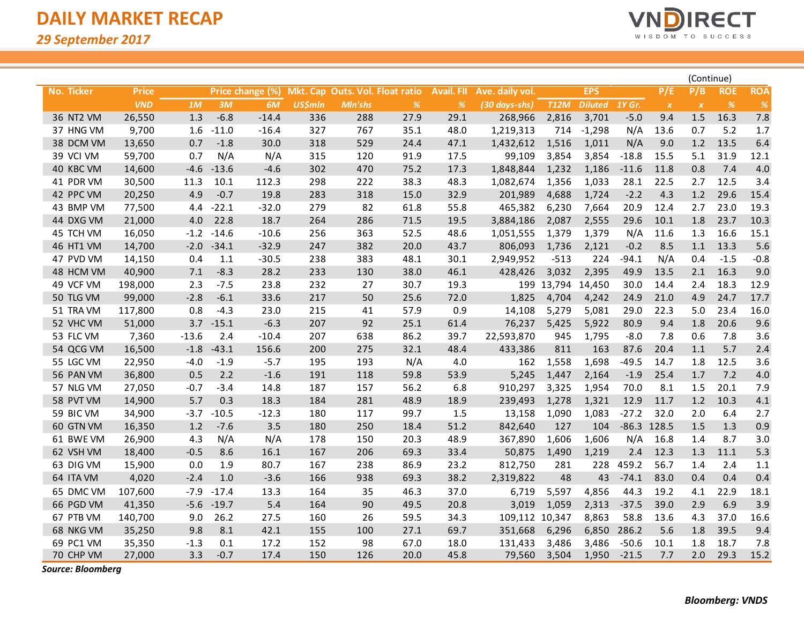$\overline{\phantom{a}}$ 



|            |              |         |         |                  |                |                                 |      |                   |                 |             |                |          |                           | (Continue)       |            |               |
|------------|--------------|---------|---------|------------------|----------------|---------------------------------|------|-------------------|-----------------|-------------|----------------|----------|---------------------------|------------------|------------|---------------|
| No. Ticker | <b>Price</b> |         |         | Price change (%) |                | Mkt. Cap Outs. Vol. Float ratio |      | <b>Avail. Fll</b> | Ave. daily vol. |             | <b>EPS</b>     |          | P/E                       | P/B              | <b>ROE</b> | <b>ROA</b>    |
|            | <b>VND</b>   | 1M      | 3M      | 6M               | <b>US\$mln</b> | <b>MIn'shs</b>                  | %    | %                 | (30 days-shs)   | <b>T12M</b> | <b>Diluted</b> | $1Y$ Gr. | $\boldsymbol{\mathsf{X}}$ | $\boldsymbol{X}$ | %          | $\frac{9}{6}$ |
| 36 NT2 VM  | 26,550       | 1.3     | $-6.8$  | $-14.4$          | 336            | 288                             | 27.9 | 29.1              | 268,966         | 2,816       | 3,701          | $-5.0$   | 9.4                       | 1.5              | 16.3       | 7.8           |
| 37 HNG VM  | 9,700        | 1.6     | $-11.0$ | $-16.4$          | 327            | 767                             | 35.1 | 48.0              | 1,219,313       | 714         | $-1,298$       | N/A      | 13.6                      | 0.7              | 5.2        | 1.7           |
| 38 DCM VM  | 13,650       | 0.7     | $-1.8$  | 30.0             | 318            | 529                             | 24.4 | 47.1              | 1,432,612       | 1,516       | 1,011          | N/A      | 9.0                       | 1.2              | 13.5       | 6.4           |
| 39 VCI VM  | 59,700       | 0.7     | N/A     | N/A              | 315            | 120                             | 91.9 | 17.5              | 99,109          | 3,854       | 3,854          | $-18.8$  | 15.5                      | 5.1              | 31.9       | 12.1          |
| 40 KBC VM  | 14,600       | $-4.6$  | $-13.6$ | $-4.6$           | 302            | 470                             | 75.2 | 17.3              | 1,848,844       | 1,232       | 1,186          | $-11.6$  | 11.8                      | 0.8              | 7.4        | 4.0           |
| 41 PDR VM  | 30,500       | 11.3    | 10.1    | 112.3            | 298            | 222                             | 38.3 | 48.3              | 1,082,674       | 1,356       | 1,033          | 28.1     | 22.5                      | 2.7              | 12.5       | 3.4           |
| 42 PPC VM  | 20,250       | 4.9     | $-0.7$  | 19.8             | 283            | 318                             | 15.0 | 32.9              | 201,989         | 4,688       | 1,724          | $-2.2$   | 4.3                       | 1.2              | 29.6       | 15.4          |
| 43 BMP VM  | 77,500       | 4.4     | $-22.1$ | $-32.0$          | 279            | 82                              | 61.8 | 55.8              | 465,382         | 6,230       | 7,664          | 20.9     | 12.4                      | 2.7              | 23.0       | 19.3          |
| 44 DXG VM  | 21,000       | 4.0     | 22.8    | 18.7             | 264            | 286                             | 71.5 | 19.5              | 3,884,186       | 2,087       | 2,555          | 29.6     | 10.1                      | 1.8              | 23.7       | 10.3          |
| 45 TCH VM  | 16,050       | $-1.2$  | $-14.6$ | $-10.6$          | 256            | 363                             | 52.5 | 48.6              | 1,051,555       | 1,379       | 1,379          | N/A      | 11.6                      | 1.3              | 16.6       | 15.1          |
| 46 HT1 VM  | 14,700       | $-2.0$  | $-34.1$ | $-32.9$          | 247            | 382                             | 20.0 | 43.7              | 806,093         | 1,736       | 2,121          | $-0.2$   | 8.5                       | 1.1              | 13.3       | 5.6           |
| 47 PVD VM  | 14,150       | 0.4     | 1.1     | $-30.5$          | 238            | 383                             | 48.1 | 30.1              | 2,949,952       | $-513$      | 224            | $-94.1$  | N/A                       | 0.4              | $-1.5$     | $-0.8$        |
| 48 HCM VM  | 40,900       | 7.1     | $-8.3$  | 28.2             | 233            | 130                             | 38.0 | 46.1              | 428,426         | 3,032       | 2,395          | 49.9     | 13.5                      | 2.1              | 16.3       | 9.0           |
| 49 VCF VM  | 198,000      | 2.3     | $-7.5$  | 23.8             | 232            | 27                              | 30.7 | 19.3              | 199             | 13,794      | 14,450         | 30.0     | 14.4                      | 2.4              | 18.3       | 12.9          |
| 50 TLG VM  | 99,000       | $-2.8$  | $-6.1$  | 33.6             | 217            | 50                              | 25.6 | 72.0              | 1,825           | 4,704       | 4,242          | 24.9     | 21.0                      | 4.9              | 24.7       | 17.7          |
| 51 TRA VM  | 117,800      | 0.8     | $-4.3$  | 23.0             | 215            | 41                              | 57.9 | 0.9               | 14,108          | 5,279       | 5,081          | 29.0     | 22.3                      | 5.0              | 23.4       | 16.0          |
| 52 VHC VM  | 51,000       | 3.7     | $-15.1$ | $-6.3$           | 207            | 92                              | 25.1 | 61.4              | 76,237          | 5,425       | 5,922          | 80.9     | 9.4                       | 1.8              | 20.6       | 9.6           |
| 53 FLC VM  | 7,360        | $-13.6$ | 2.4     | $-10.4$          | 207            | 638                             | 86.2 | 39.7              | 22,593,870      | 945         | 1,795          | $-8.0$   | 7.8                       | 0.6              | 7.8        | 3.6           |
| 54 QCG VM  | 16,500       | $-1.8$  | $-43.1$ | 156.6            | 200            | 275                             | 32.1 | 48.4              | 433,386         | 811         | 163            | 87.6     | 20.4                      | 1.1              | 5.7        | 2.4           |
| 55 LGC VM  | 22,950       | $-4.0$  | $-1.9$  | $-5.7$           | 195            | 193                             | N/A  | 4.0               | 162             | 1,558       | 1,698          | $-49.5$  | 14.7                      | 1.8              | 12.5       | 3.6           |
| 56 PAN VM  | 36,800       | 0.5     | 2.2     | $-1.6$           | 191            | 118                             | 59.8 | 53.9              | 5,245           | 1,447       | 2,164          | $-1.9$   | 25.4                      | 1.7              | 7.2        | 4.0           |
| 57 NLG VM  | 27,050       | $-0.7$  | $-3.4$  | 14.8             | 187            | 157                             | 56.2 | 6.8               | 910,297         | 3,325       | 1,954          | 70.0     | 8.1                       | 1.5              | 20.1       | 7.9           |
| 58 PVT VM  | 14,900       | 5.7     | 0.3     | 18.3             | 184            | 281                             | 48.9 | 18.9              | 239,493         | 1,278       | 1,321          | 12.9     | 11.7                      | 1.2              | 10.3       | 4.1           |
| 59 BIC VM  | 34,900       | $-3.7$  | $-10.5$ | $-12.3$          | 180            | 117                             | 99.7 | 1.5               | 13,158          | 1,090       | 1,083          | $-27.2$  | 32.0                      | 2.0              | 6.4        | 2.7           |
| 60 GTN VM  | 16,350       | 1.2     | $-7.6$  | 3.5              | 180            | 250                             | 18.4 | 51.2              | 842,640         | 127         | 104            |          | $-86.3$ 128.5             | 1.5              | 1.3        | 0.9           |
| 61 BWE VM  | 26,900       | 4.3     | N/A     | N/A              | 178            | 150                             | 20.3 | 48.9              | 367,890         | 1,606       | 1,606          | N/A      | 16.8                      | 1.4              | 8.7        | 3.0           |
| 62 VSH VM  | 18,400       | $-0.5$  | 8.6     | 16.1             | 167            | 206                             | 69.3 | 33.4              | 50,875          | 1,490       | 1,219          | 2.4      | 12.3                      | 1.3              | 11.1       | 5.3           |
| 63 DIG VM  | 15,900       | 0.0     | 1.9     | 80.7             | 167            | 238                             | 86.9 | 23.2              | 812,750         | 281         | 228            | 459.2    | 56.7                      | 1.4              | 2.4        | 1.1           |
| 64 ITA VM  | 4,020        | $-2.4$  | $1.0$   | $-3.6$           | 166            | 938                             | 69.3 | 38.2              | 2,319,822       | 48          | 43             | $-74.1$  | 83.0                      | 0.4              | 0.4        | 0.4           |
| 65 DMC VM  | 107,600      | $-7.9$  | $-17.4$ | 13.3             | 164            | 35                              | 46.3 | 37.0              | 6,719           | 5,597       | 4,856          | 44.3     | 19.2                      | 4.1              | 22.9       | 18.1          |
| 66 PGD VM  | 41,350       | $-5.6$  | $-19.7$ | 5.4              | 164            | 90                              | 49.5 | 20.8              | 3,019           | 1,059       | 2,313          | $-37.5$  | 39.0                      | 2.9              | 6.9        | 3.9           |
| 67 PTB VM  | 140,700      | 9.0     | 26.2    | 27.5             | 160            | 26                              | 59.5 | 34.3              | 109,112 10,347  |             | 8,863          | 58.8     | 13.6                      | 4.3              | 37.0       | 16.6          |
| 68 NKG VM  | 35,250       | 9.8     | 8.1     | 42.1             | 155            | 100                             | 27.1 | 69.7              | 351,668         | 6,296       | 6,850          | 286.2    | 5.6                       | 1.8              | 39.5       | 9.4           |
| 69 PC1 VM  | 35,350       | $-1.3$  | 0.1     | 17.2             | 152            | 98                              | 67.0 | 18.0              | 131,433         | 3,486       | 3,486          | $-50.6$  | 10.1                      | 1.8              | 18.7       | 7.8           |
| 70 CHP VM  | 27,000       | 3.3     | $-0.7$  | 17.4             | 150            | 126                             | 20.0 | 45.8              | 79,560          | 3,504       | 1,950          | $-21.5$  | 7.7                       | 2.0              | 29.3       | 15.2          |

*Source: Bloomberg*